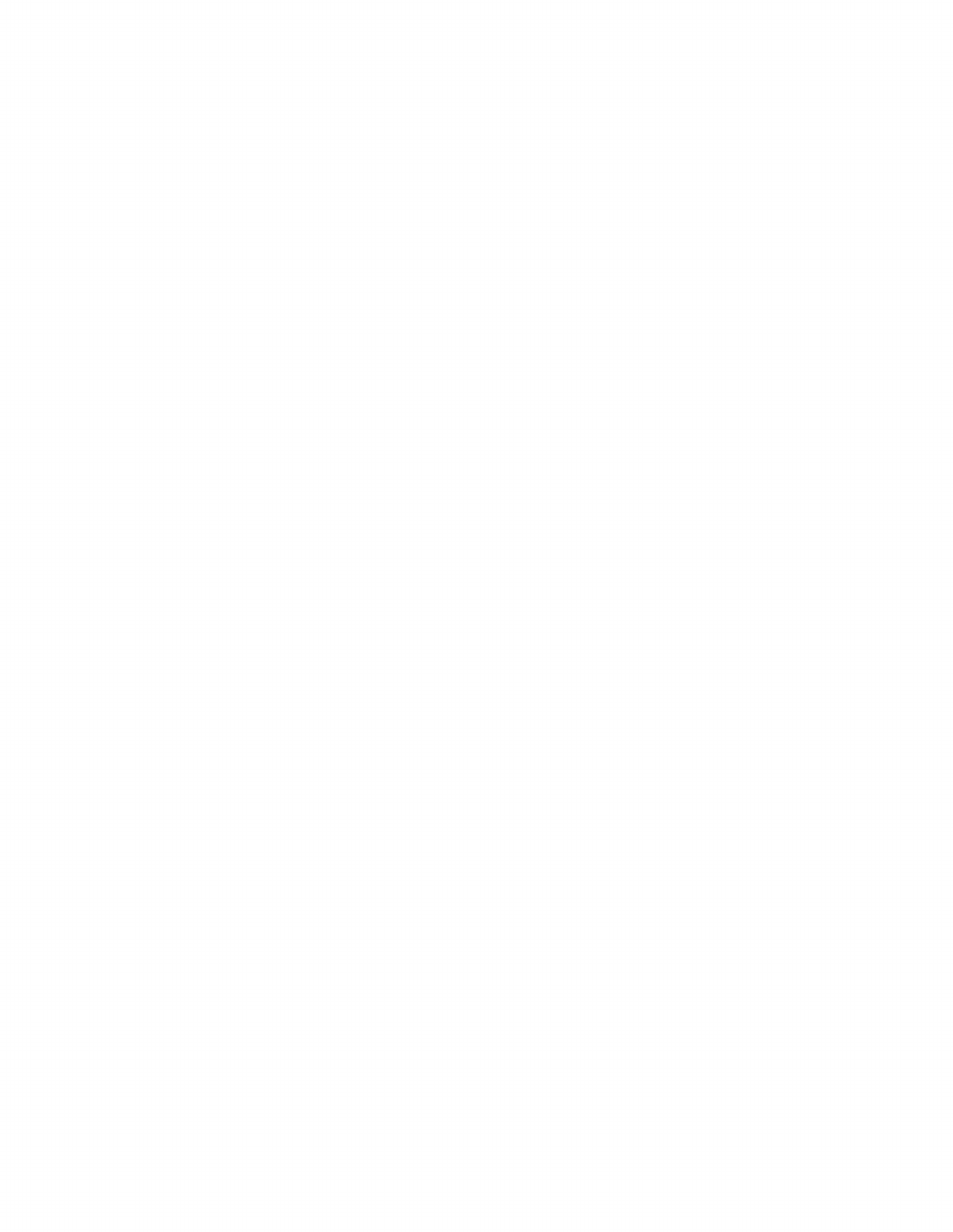## **BOARD OF SELECTMEN AND SEWER COMMISIONER'S MEETING**

**December 7, 2015 Francis Faulkner Room 204 Regular Meeting 7:00 PM**

Present: Katie Green, Peter J. Berry, Janet K. Adachi, Franny Osman, Chingsung Chang, Town Manager Steven Ledoux, Town Counsel Nina Pickering-Cook, and Lisa Tomyl, Recording Secretary Mr. Berry arrived at 7:07 PM Chairman Green opened the meeting at 7:00 PM

### **Citizens' Concerns**

None

## **Chairman's Update and Operational Update:**

Ms. Green: Hoped everyone had a Happy Thanksgiving and wished those celebrating tonight a Happy Hannukah. Holiday light contest on December  $17<sup>th</sup>$ . Santa Ride and Food Drive on December  $12<sup>th</sup>$  in a vintage fire truck led and sponsored by the Acton Fire Department. Families can request a visit from Mrs. Claus if they are not able to greet Santa during his ride.

Mr. Ledoux: Announced Mathew Selby of Upton had been offered and accepted the Land Use Economic Development Director position. "Selby" begins January 4, 2016. Special Selectmen meeting was held on November 19<sup>th</sup> to approve application for Associated Environmental Systems for a tax break at the state level. Next Board meeting is December 21, when he will be presenting the FY17 municipal budget.

### **Public Hearings and Appointments**

Acton Boxborough United Way Community Needs Assessment: Presentation by Patty Higgins, ABUW Chairman,of summary of the Community Needs Assessment results. Full report is available at www.ABUW.org. 25% of population earns under 50K. Top issues are stress across population; isolation; lack of information or knowledge of how to find. In elementary schools, more kids qualify for free lunch; at high school, growing mental health and substance abuse issues; insufficient programs/services postemergency-room. Young adults don't receive much attention; opiates a problem. Stress in families due to the cost of higher education, even in affluent homes; and due to food needs for challenged families. Mr. Berry asked if circumstances were improving: yes, but some issues remain; the study is a good tool for the Town and ABUW to help each other. Ms. Osman asked if there were a way to determine whether any of the 25% with income under 50K overlapped with the 23% of apartment-rentals. Ms. Green, who was involved in the study, said it was a good experience, generated good information.

Site Plan Special Permit #09/11/2015 - 457, Ryan Development: Kevin Erikson, representative from Ryan Development, LLC, Katie Enright, Howard Stein Hudson Architects, and Mark Johnson, attorney; Kristen Guichard, Assistant Town Planner. Hearing continued from 11/2. Ms. Green read the public hearing Board of Selectmen December 7, 2015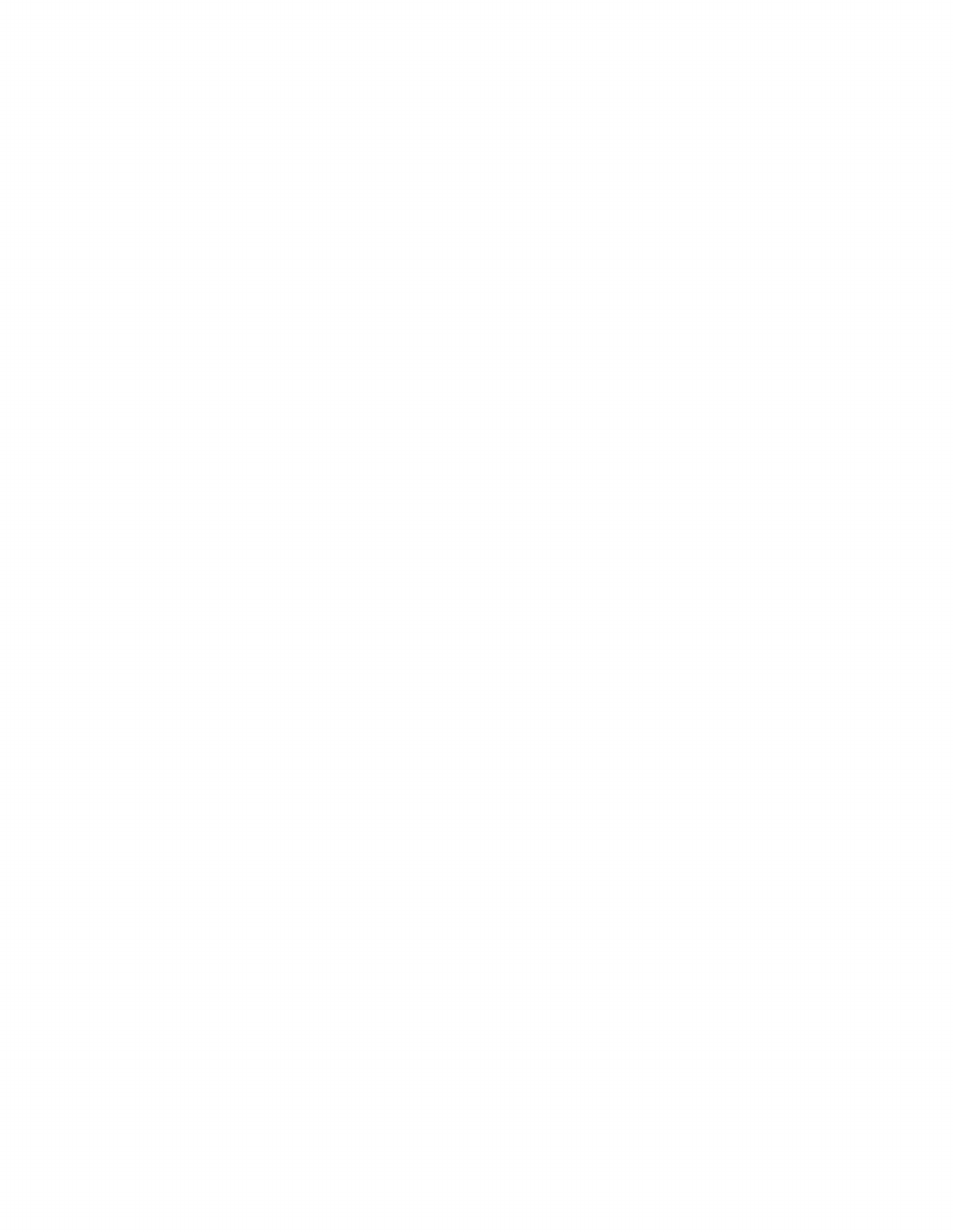notice. Since the last meeting, when the Board received the applicant's updated materials very late just prior to the meeting, the applicant has received, reviewed and addressed departmental comments,. including Planning and Engineering Department comments. Mr. Erikson went through the applicant's responses:

## 1) Planning Department

- Sidewalk: Applicant compliant with zoning bylaw

- Hardscape plaza: Zoning bylaw doesn't say it can't be by the driveway. For the Panera Bread application, the Planning Department said that due to the percentage of structure, there was no need for a pedestrian plaza.

- Landscaping: Applicant added.
- Firepit with 30-foot setback: Doesn't qualify as 'structure" under bylaw.
- Bike racks: Placed in front of building in revised plan.
- Parking space: Removed.
- 2 accesses: Project won't touch drives at all.
- Landscape buffer: Applicant created 20-foot-deep buffer.

#### 2) Engineeering

- Sewer privilege fee: Applicant will agree to; proposed grease traps okay.
- Drainage: Provided required conversation factor.

3) Design Review Board

- Building not parallel to street: Applicant has explained that that placement is not possible. Proposed canopy will be parallel.

- Hardscape plaza: DRB doesn't like and applicant doesn't, either.

4) Acton Water District: Applicant has no issue with AWD comments.

Ms. Green noted that the Board was likely to request another continuance. Ms. Adachi requested clarification from the Planning Department of the zoning provisions requiring the hardscape, and from the applicant of its lease area, which precluded the applicant's shifting the building position, and alteration/elimination of the current curb cuts; the lease area encompasses only the proposed building, barely extending beyond the south end and excluding the parking and accesses, which are shared. Ms. Adachi asked if the bollards were the only barriers for the outside patio: yes, with chains. Mr. Berry questioned the applicant's claim that traffic would decline relative to the former use as a McDonald's restaurant, and reiterated the request to the Planning Department for clarification of the hardscape requirement. Ms. Osman expressed a wish that the applicant and Planning Department work together in anticipation of the proposed zoning bylaw amendments that would go before 2016 Town Meeting; the applicant confirmed that it already was leasing, was going through due diligence and thereafter would start construction. Mr. Chang asked when the applicant expected to open: as soon as possible;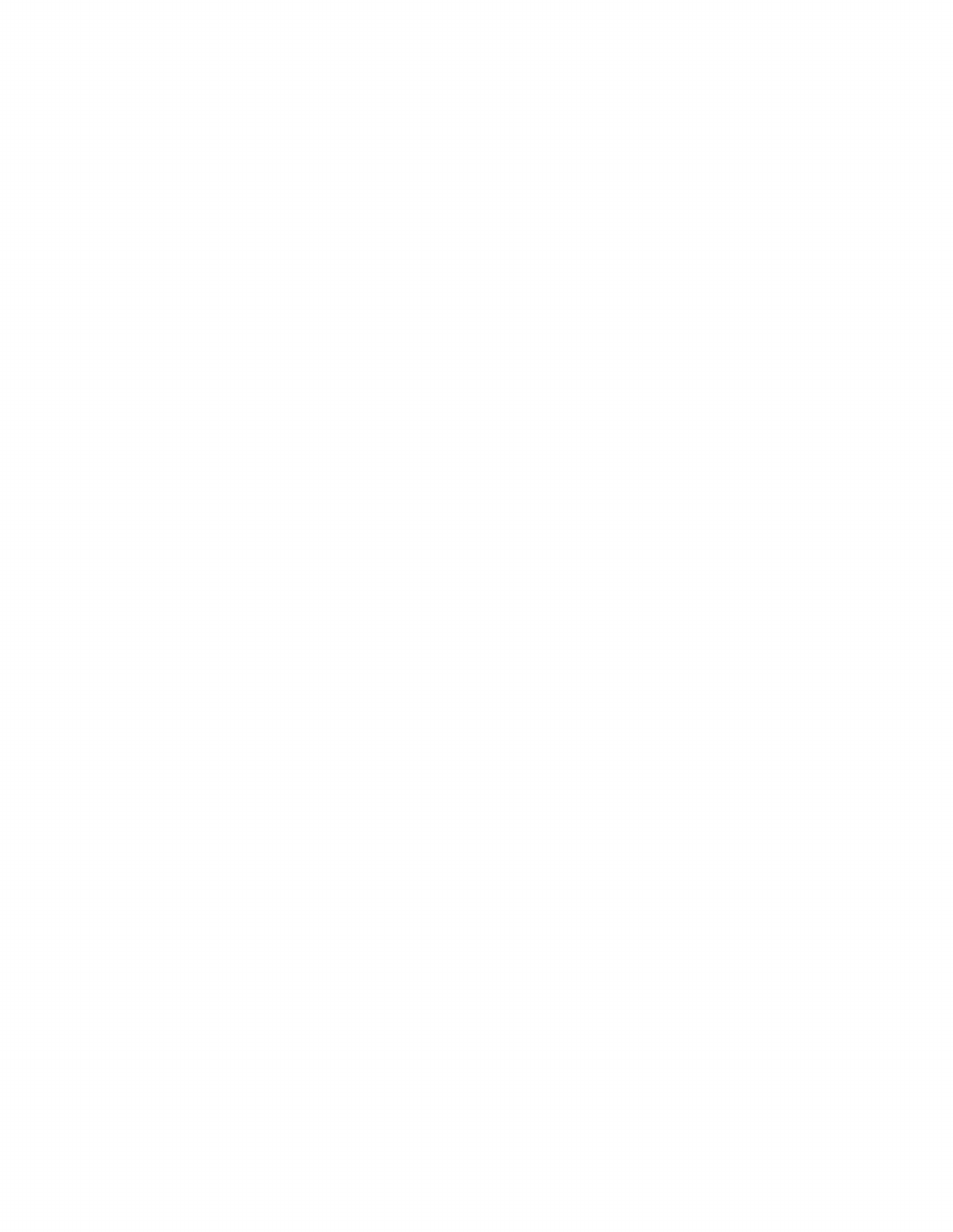Mr. Chang said he would have preferred to address the site in its entirety rather than just the one corner that a larger-scale project in the future would not be able to touch.

Ms. Guichard provided some history for the project. The Planning Department typically suggests that developers have a pre-application meeting with Planning, and made that suggestion to the applicant, but the applicant did not pursue the meeting. Planning then discovered that the former Zoning Enforcement Officer had erred in concluding that no hardscape was necessary for the Panera project. The zoning bylaw states that the hardscape must be on the side of the building; the applicant's proposal to extend the colonnade within the 40 feet setback would not have qualified as an extension of the building itself, with walls on all sides. Ms. Guichard noted that the Board did not issue a decision on the Panera project. Mr. Berry clarified that the purpose of the hardscape plaza was to help the applicant meet the 60% frontage requirement that the proposed building would not satisfy. Ms. Adachi asked if there were any alternative for meeting the frontage requirement, other than a pedestrian plaza or an expanded building: no. Mr. Chang criticized the zoning bylaw for burdening lessees.

Mr. Erikson noted that the applicant had removed the one proposed parking space because it opened up the applicant to the perception that it was seeking to modify the access.

Jim Snyder-Grant, Half Moon Hill: suggests changing the name to 111 Grill since it is already located right at Route 111. Kelley's Corner is a bike-parking wasteland. The intent of the bike-parking bylaw is to change the current situation. The plan states one bicycle spot per 20 parking spaces, or 15 bike spaces for the entire parcel of 286 parking spaces. But perhaps the Board's approval of the project will require a variance to allow a smaller number of bike-parking spaces. In the alternative, a calculation based on proposed seating, 63 or 80, yields 4 bike spaces. The plan currently shows 3 spaces. Ms. Green asked why the calculation of bike spaces involved looking at the application rather than the entire lot; Ms. Guichard said that the limits of the project, in this case, the seating, determined the require number of bike spaces.

Mark Johnson, Ryan Development LLC – distributed to the Board copies of the zoning bylaw provision, Section 5.6.3.2, regarding Kelley's Corner pedestrian plazas. Mr. Johnson reviewed the bylaw description of pedestrian plazas, noting that the bylaw did not say that the plaza had to be adjacent to or touching the building, but only at the side of the building, which the applicant's proposed hardscape would be. Mr. Johnson also focused on the bylaw definition of "lot," stating that the former ZEO's interpretation had been correct in determining the 60% frontage requirement based on the lease area rather than entire lot; Mr. Johnson also cited some MA court decisions that supported his conclusion. Ms. Green requested a continuance, Mr. Berry requested that Town Counsel follow up with the cited court decisions. Ms. Adachi move to approve a continuance to January 25, 2016, with staff comments to be available by January 4, 2016, and with no extension of the 90-day decision deadline, Mr. Berry seconded, 4 Ayes, 1 Nay (Mr. Chang)

Board of Assessors Tax Classification Hearing: Brian McMullen, Chief Assessor, presented the recommendation of the Board of Assessors Tax Classification recommendation.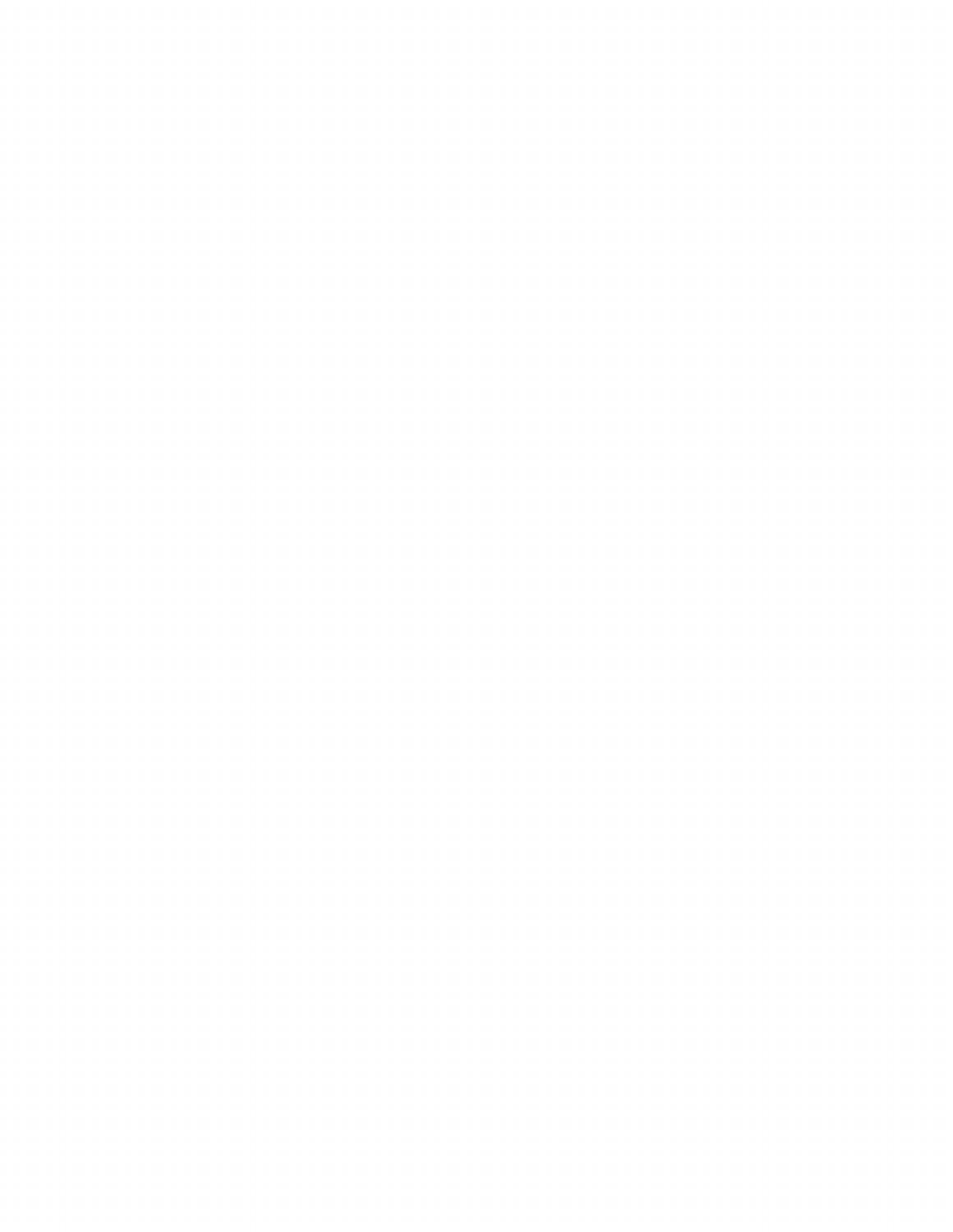Ms. Adachi move to adopt a residential factor of 1.0 resulting in a Uniform Tax Rate of \$19.23, Ms. Osman seconded. All Ayes (5-0)

Ms. Adachi moved to not grant an Open Space Discount, Ms. Osman seconded. All Ayes (5-0) Ms. Adachi moved to not adopt a Residential Exemption, Ms. Osman seconded. All Ayes (5-0) Ms. Adachi moved to not adopt a Small Commercial Exemption, Ms. Osman seconded. All Ayes (5-0)

Transfer of Stock, Indoor Sports Management: Tom Moore, owner, representing Indoor Sports Management, Inc. Ms. Adachi move to approve the transfer of stock, Mr. Chang second. All ayes (4-0)

### Selectmen's Business

Approve Land Stewardship Committee Mission Statement: Ms. Adachi presented a history of the Land Stewardship Committee which long had been operating as essentially a subcommittee of the Conservation Commission without formal authorization by the Board. Board approval required the creation of a mission statement, an endeavor that started in 2009 and after years of debate, editing, Town Counsel review and further debate, has received the approval of the LSC and the Conservation Commission and now is ready for the Board's approval. . Ms. Osman asked if LSC members are considered land stewards; Mr. Snyder-Grant refers to the committee members as land stewards. Ms. Adachi move to approve the Land Stewardship Committee mission statement, Ms. Osman second, All Ayes (5-0)

Discussion of Proposed Acton-Boxborough Regional District Capital Planning Committee: Ms. Green explained that Superintendent Glenn Brand had asked the Selectmen to nominate 2 people for the AB Capital Planning Committee,. Boxborough designated 2 Finance Committee members as their representatives. Mr. Ledoux commented that he has not seen a charge for this committee and that there will be further discussion at the Acton Leadership Group on Thursday.

Update on Minuteman Regional Technical High School: Ms. Adachi gave an update and sought feedback about the latest proposed additions to the MRVTHS amended regional agreement and the possibility of a special town meeting in February to approve the regional agreement. The latest proposed amendments result from the 12/2 meeting of the member-community Selectmen-representatives (for further detail, see Ms. Adachi's Selectman's Report for 12/7). Mr. Ledoux said that the Town Moderator will be out of town until mid-March so a substitute moderator would be necessary, and the Town would need the draft language for the article. The Board was not prepared to call a Special Town Meeting just yet; and Ms. Green did not care for the proposed host-community payment to Lincoln.

## Selectmen's **Reports:**

Selectmen Reports are included in the agenda packet on docushare. There were no questions.

# Consent **Agenda**

Ms. Osman held item 9.

Mr. Chang move to approve consent items  $8$ ,  $10 - 17$ , Mr. Berry seconded., seconded. All Ayes (5-0) Mr. Chang moved to approve item 9, Mr. Berry seconded. All Ayes (5-0)